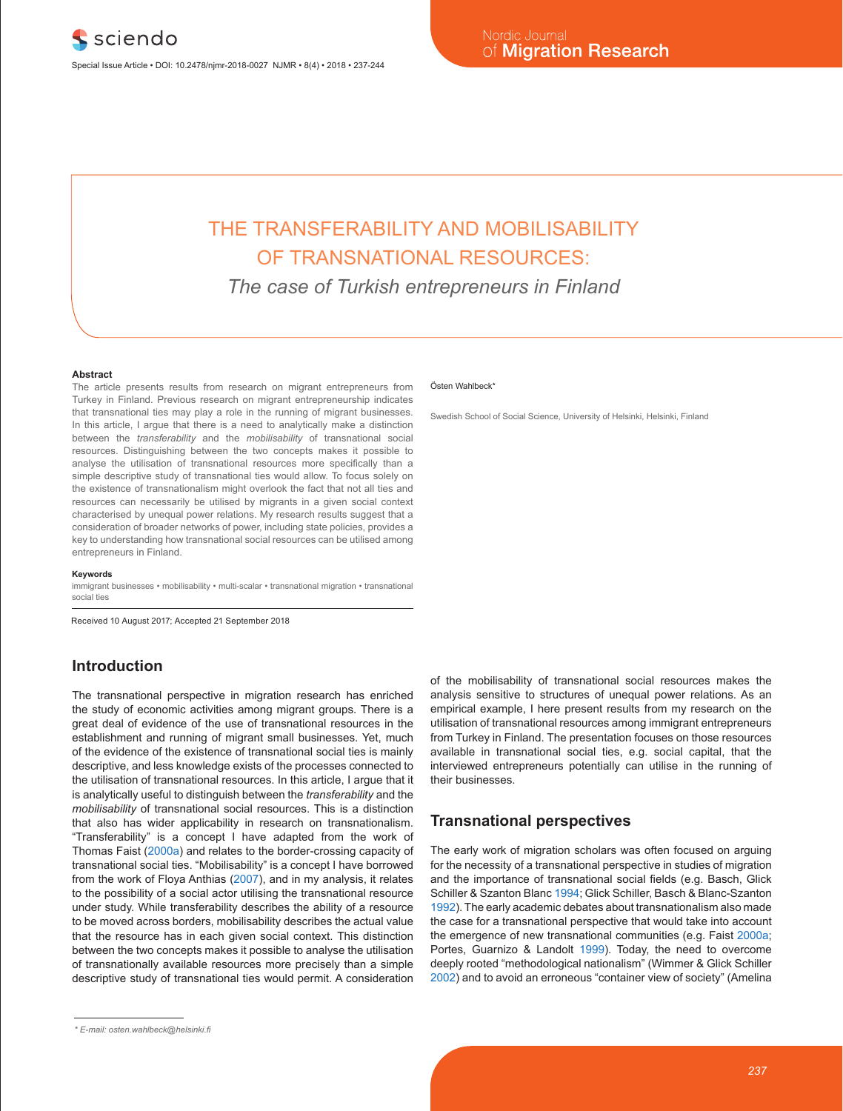# THE TRANSFERABILITY AND MOBILISABILITY OF TRANSNATIONAL RESOURCES:

*The case of Turkish entrepreneurs in Finland*

#### **Abstract**

The article presents results from research on migrant entrepreneurs from Turkey in Finland. Previous research on migrant entrepreneurship indicates that transnational ties may play a role in the running of migrant businesses. In this article, I argue that there is a need to analytically make a distinction between the *transferability* and the *mobilisability* of transnational social resources. Distinguishing between the two concepts makes it possible to analyse the utilisation of transnational resources more specifically than a simple descriptive study of transnational ties would allow. To focus solely on the existence of transnationalism might overlook the fact that not all ties and resources can necessarily be utilised by migrants in a given social context characterised by unequal power relations. My research results suggest that a consideration of broader networks of power, including state policies, provides a key to understanding how transnational social resources can be utilised among entrepreneurs in Finland.

#### **Keywords**

immigrant businesses • mobilisability • multi-scalar • transnational migration • transnational social ties

Received 10 August 2017; Accepted 21 September 2018

# **Introduction**

The transnational perspective in migration research has enriched the study of economic activities among migrant groups. There is a great deal of evidence of the use of transnational resources in the establishment and running of migrant small businesses. Yet, much of the evidence of the existence of transnational social ties is mainly descriptive, and less knowledge exists of the processes connected to the utilisation of transnational resources. In this article, I argue that it is analytically useful to distinguish between the *transferability* and the *mobilisability* of transnational social resources. This is a distinction that also has wider applicability in research on transnationalism. "Transferability" is a concept I have adapted from the work of Thomas Faist (2000a) and relates to the border-crossing capacity of transnational social ties. "Mobilisability" is a concept I have borrowed from the work of Floya Anthias (2007), and in my analysis, it relates to the possibility of a social actor utilising the transnational resource under study. While transferability describes the ability of a resource to be moved across borders, mobilisability describes the actual value that the resource has in each given social context. This distinction between the two concepts makes it possible to analyse the utilisation of transnationally available resources more precisely than a simple descriptive study of transnational ties would permit. A consideration

#### Östen Wahlbeck\*

Swedish School of Social Science, University of Helsinki, Helsinki, Finland

of the mobilisability of transnational social resources makes the analysis sensitive to structures of unequal power relations. As an empirical example, I here present results from my research on the utilisation of transnational resources among immigrant entrepreneurs from Turkey in Finland. The presentation focuses on those resources available in transnational social ties, e.g. social capital, that the interviewed entrepreneurs potentially can utilise in the running of their businesses.

## **Transnational perspectives**

The early work of migration scholars was often focused on arguing for the necessity of a transnational perspective in studies of migration and the importance of transnational social fields (e.g. Basch, Glick Schiller & Szanton Blanc 1994; Glick Schiller, Basch & Blanc-Szanton 1992). The early academic debates about transnationalism also made the case for a transnational perspective that would take into account the emergence of new transnational communities (e.g. Faist 2000a; Portes, Guarnizo & Landolt 1999). Today, the need to overcome deeply rooted "methodological nationalism" (Wimmer & Glick Schiller 2002) and to avoid an erroneous "container view of society" (Amelina

*<sup>\*</sup> E-mail: osten.wahlbeck@helsinki.fi*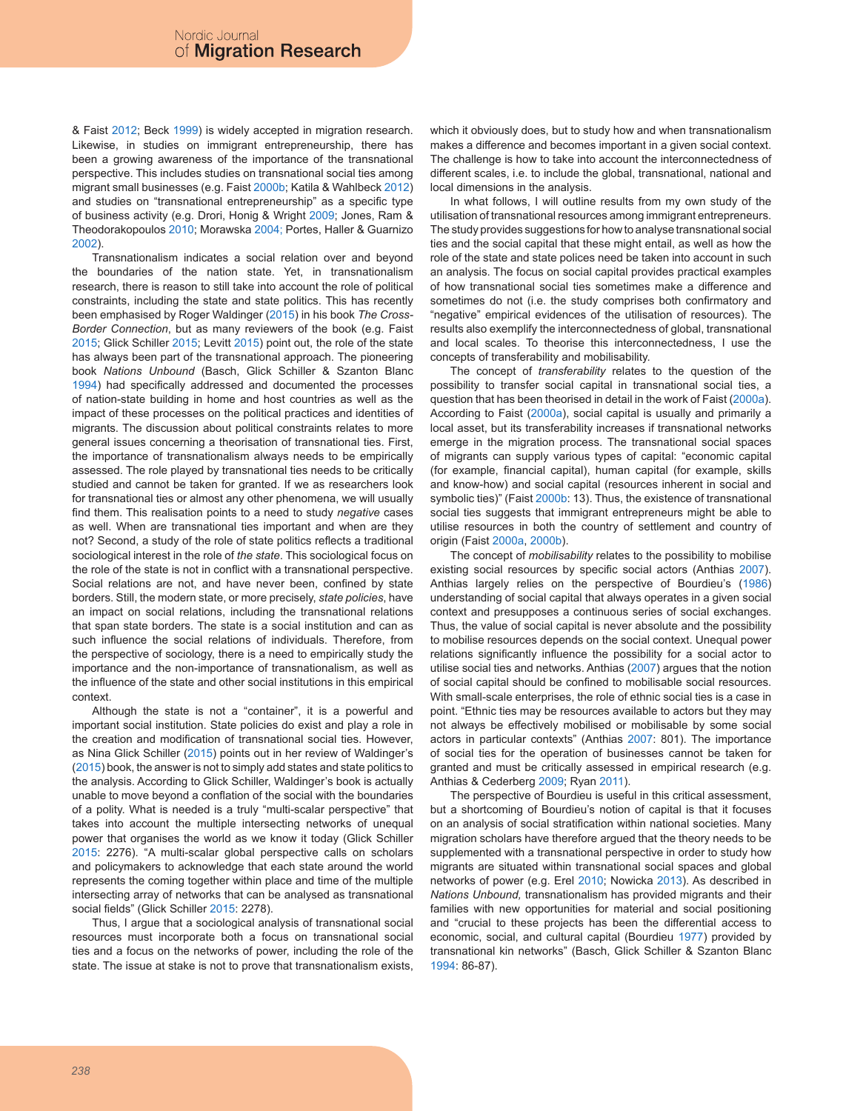& Faist 2012; Beck 1999) is widely accepted in migration research. Likewise, in studies on immigrant entrepreneurship, there has been a growing awareness of the importance of the transnational perspective. This includes studies on transnational social ties among migrant small businesses (e.g. Faist 2000b; Katila & Wahlbeck 2012) and studies on "transnational entrepreneurship" as a specific type of business activity (e.g. Drori, Honig & Wright 2009; Jones, Ram & Theodorakopoulos 2010; Morawska 2004; Portes, Haller & Guarnizo 2002).

Transnationalism indicates a social relation over and beyond the boundaries of the nation state. Yet, in transnationalism research, there is reason to still take into account the role of political constraints, including the state and state politics. This has recently been emphasised by Roger Waldinger (2015) in his book *The Cross-Border Connection*, but as many reviewers of the book (e.g. Faist 2015; Glick Schiller 2015; Levitt 2015) point out, the role of the state has always been part of the transnational approach. The pioneering book *Nations Unbound* (Basch, Glick Schiller & Szanton Blanc 1994) had specifically addressed and documented the processes of nation-state building in home and host countries as well as the impact of these processes on the political practices and identities of migrants. The discussion about political constraints relates to more general issues concerning a theorisation of transnational ties. First, the importance of transnationalism always needs to be empirically assessed. The role played by transnational ties needs to be critically studied and cannot be taken for granted. If we as researchers look for transnational ties or almost any other phenomena, we will usually find them. This realisation points to a need to study *negative* cases as well. When are transnational ties important and when are they not? Second, a study of the role of state politics reflects a traditional sociological interest in the role of *the state*. This sociological focus on the role of the state is not in conflict with a transnational perspective. Social relations are not, and have never been, confined by state borders. Still, the modern state, or more precisely, *state policies*, have an impact on social relations, including the transnational relations that span state borders. The state is a social institution and can as such influence the social relations of individuals. Therefore, from the perspective of sociology, there is a need to empirically study the importance and the non-importance of transnationalism, as well as the influence of the state and other social institutions in this empirical context.

Although the state is not a "container", it is a powerful and important social institution. State policies do exist and play a role in the creation and modification of transnational social ties. However, as Nina Glick Schiller (2015) points out in her review of Waldinger's (2015) book, the answer is not to simply add states and state politics to the analysis. According to Glick Schiller, Waldinger's book is actually unable to move beyond a conflation of the social with the boundaries of a polity. What is needed is a truly "multi-scalar perspective" that takes into account the multiple intersecting networks of unequal power that organises the world as we know it today (Glick Schiller 2015: 2276). "A multi-scalar global perspective calls on scholars and policymakers to acknowledge that each state around the world represents the coming together within place and time of the multiple intersecting array of networks that can be analysed as transnational social fields" (Glick Schiller 2015: 2278).

Thus, I argue that a sociological analysis of transnational social resources must incorporate both a focus on transnational social ties and a focus on the networks of power, including the role of the state. The issue at stake is not to prove that transnationalism exists,

which it obviously does, but to study how and when transnationalism makes a difference and becomes important in a given social context. The challenge is how to take into account the interconnectedness of different scales, i.e. to include the global, transnational, national and local dimensions in the analysis.

In what follows, I will outline results from my own study of the utilisation of transnational resources among immigrant entrepreneurs. The study provides suggestions for how to analyse transnational social ties and the social capital that these might entail, as well as how the role of the state and state polices need be taken into account in such an analysis. The focus on social capital provides practical examples of how transnational social ties sometimes make a difference and sometimes do not (i.e. the study comprises both confirmatory and "negative" empirical evidences of the utilisation of resources). The results also exemplify the interconnectedness of global, transnational and local scales. To theorise this interconnectedness, I use the concepts of transferability and mobilisability.

The concept of *transferability* relates to the question of the possibility to transfer social capital in transnational social ties, a question that has been theorised in detail in the work of Faist (2000a). According to Faist (2000a), social capital is usually and primarily a local asset, but its transferability increases if transnational networks emerge in the migration process. The transnational social spaces of migrants can supply various types of capital: "economic capital (for example, financial capital), human capital (for example, skills and know-how) and social capital (resources inherent in social and symbolic ties)" (Faist 2000b: 13). Thus, the existence of transnational social ties suggests that immigrant entrepreneurs might be able to utilise resources in both the country of settlement and country of origin (Faist 2000a, 2000b).

The concept of *mobilisability* relates to the possibility to mobilise existing social resources by specific social actors (Anthias 2007). Anthias largely relies on the perspective of Bourdieu's (1986) understanding of social capital that always operates in a given social context and presupposes a continuous series of social exchanges. Thus, the value of social capital is never absolute and the possibility to mobilise resources depends on the social context. Unequal power relations significantly influence the possibility for a social actor to utilise social ties and networks. Anthias (2007) argues that the notion of social capital should be confined to mobilisable social resources. With small-scale enterprises, the role of ethnic social ties is a case in point. "Ethnic ties may be resources available to actors but they may not always be effectively mobilised or mobilisable by some social actors in particular contexts" (Anthias 2007: 801). The importance of social ties for the operation of businesses cannot be taken for granted and must be critically assessed in empirical research (e.g. Anthias & Cederberg 2009; Ryan 2011).

The perspective of Bourdieu is useful in this critical assessment, but a shortcoming of Bourdieu's notion of capital is that it focuses on an analysis of social stratification within national societies. Many migration scholars have therefore argued that the theory needs to be supplemented with a transnational perspective in order to study how migrants are situated within transnational social spaces and global networks of power (e.g. Erel 2010; Nowicka 2013). As described in *Nations Unbound,* transnationalism has provided migrants and their families with new opportunities for material and social positioning and "crucial to these projects has been the differential access to economic, social, and cultural capital (Bourdieu 1977) provided by transnational kin networks" (Basch, Glick Schiller & Szanton Blanc 1994: 86-87).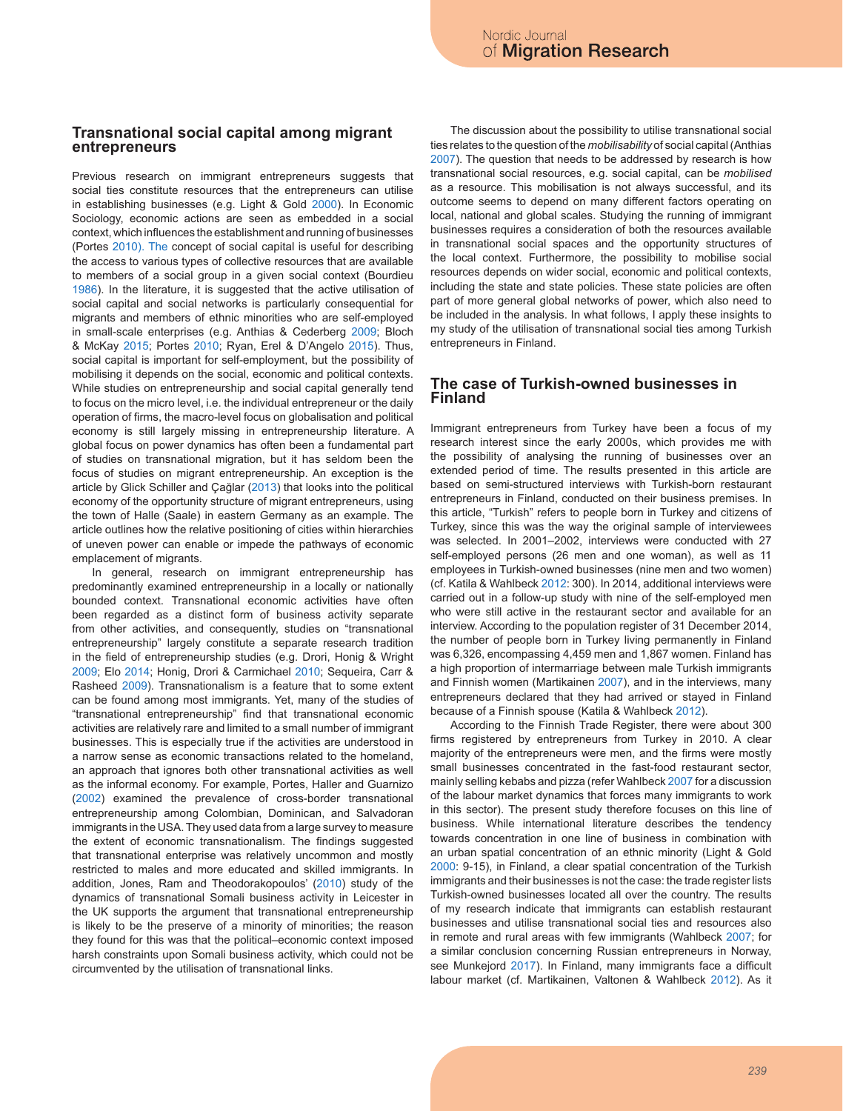## **Transnational social capital among migrant entrepreneurs**

Previous research on immigrant entrepreneurs suggests that social ties constitute resources that the entrepreneurs can utilise in establishing businesses (e.g. Light & Gold 2000). In Economic Sociology, economic actions are seen as embedded in a social context, which influences the establishment and running of businesses (Portes 2010). The concept of social capital is useful for describing the access to various types of collective resources that are available to members of a social group in a given social context (Bourdieu 1986). In the literature, it is suggested that the active utilisation of social capital and social networks is particularly consequential for migrants and members of ethnic minorities who are self-employed in small-scale enterprises (e.g. Anthias & Cederberg 2009; Bloch & McKay 2015; Portes 2010; Ryan, Erel & D'Angelo 2015). Thus, social capital is important for self-employment, but the possibility of mobilising it depends on the social, economic and political contexts. While studies on entrepreneurship and social capital generally tend to focus on the micro level, i.e. the individual entrepreneur or the daily operation of firms, the macro-level focus on globalisation and political economy is still largely missing in entrepreneurship literature. A global focus on power dynamics has often been a fundamental part of studies on transnational migration, but it has seldom been the focus of studies on migrant entrepreneurship. An exception is the article by Glick Schiller and Çağlar (2013) that looks into the political economy of the opportunity structure of migrant entrepreneurs, using the town of Halle (Saale) in eastern Germany as an example. The article outlines how the relative positioning of cities within hierarchies of uneven power can enable or impede the pathways of economic emplacement of migrants.

In general, research on immigrant entrepreneurship has predominantly examined entrepreneurship in a locally or nationally bounded context. Transnational economic activities have often been regarded as a distinct form of business activity separate from other activities, and consequently, studies on "transnational entrepreneurship" largely constitute a separate research tradition in the field of entrepreneurship studies (e.g. Drori, Honig & Wright 2009; Elo 2014; Honig, Drori & Carmichael 2010; Sequeira, Carr & Rasheed 2009). Transnationalism is a feature that to some extent can be found among most immigrants. Yet, many of the studies of "transnational entrepreneurship" find that transnational economic activities are relatively rare and limited to a small number of immigrant businesses. This is especially true if the activities are understood in a narrow sense as economic transactions related to the homeland, an approach that ignores both other transnational activities as well as the informal economy. For example, Portes, Haller and Guarnizo (2002) examined the prevalence of cross-border transnational entrepreneurship among Colombian, Dominican, and Salvadoran immigrants in the USA. They used data from a large survey to measure the extent of economic transnationalism. The findings suggested that transnational enterprise was relatively uncommon and mostly restricted to males and more educated and skilled immigrants. In addition, Jones, Ram and Theodorakopoulos' (2010) study of the dynamics of transnational Somali business activity in Leicester in the UK supports the argument that transnational entrepreneurship is likely to be the preserve of a minority of minorities; the reason they found for this was that the political–economic context imposed harsh constraints upon Somali business activity, which could not be circumvented by the utilisation of transnational links.

The discussion about the possibility to utilise transnational social ties relates to the question of the *mobilisability* of social capital (Anthias 2007). The question that needs to be addressed by research is how transnational social resources, e.g. social capital, can be *mobilised* as a resource. This mobilisation is not always successful, and its outcome seems to depend on many different factors operating on local, national and global scales. Studying the running of immigrant businesses requires a consideration of both the resources available in transnational social spaces and the opportunity structures of the local context. Furthermore, the possibility to mobilise social resources depends on wider social, economic and political contexts, including the state and state policies. These state policies are often part of more general global networks of power, which also need to be included in the analysis. In what follows, I apply these insights to my study of the utilisation of transnational social ties among Turkish entrepreneurs in Finland.

## **The case of Turkish-owned businesses in Finland**

Immigrant entrepreneurs from Turkey have been a focus of my research interest since the early 2000s, which provides me with the possibility of analysing the running of businesses over an extended period of time. The results presented in this article are based on semi-structured interviews with Turkish-born restaurant entrepreneurs in Finland, conducted on their business premises. In this article, "Turkish" refers to people born in Turkey and citizens of Turkey, since this was the way the original sample of interviewees was selected. In 2001–2002, interviews were conducted with 27 self-employed persons (26 men and one woman), as well as 11 employees in Turkish-owned businesses (nine men and two women) (cf. Katila & Wahlbeck 2012: 300). In 2014, additional interviews were carried out in a follow-up study with nine of the self-employed men who were still active in the restaurant sector and available for an interview. According to the population register of 31 December 2014, the number of people born in Turkey living permanently in Finland was 6,326, encompassing 4,459 men and 1,867 women. Finland has a high proportion of intermarriage between male Turkish immigrants and Finnish women (Martikainen 2007), and in the interviews, many entrepreneurs declared that they had arrived or stayed in Finland because of a Finnish spouse (Katila & Wahlbeck 2012).

According to the Finnish Trade Register, there were about 300 firms registered by entrepreneurs from Turkey in 2010. A clear majority of the entrepreneurs were men, and the firms were mostly small businesses concentrated in the fast-food restaurant sector, mainly selling kebabs and pizza (refer Wahlbeck 2007 for a discussion of the labour market dynamics that forces many immigrants to work in this sector). The present study therefore focuses on this line of business. While international literature describes the tendency towards concentration in one line of business in combination with an urban spatial concentration of an ethnic minority (Light & Gold 2000: 9-15), in Finland, a clear spatial concentration of the Turkish immigrants and their businesses is not the case: the trade register lists Turkish-owned businesses located all over the country. The results of my research indicate that immigrants can establish restaurant businesses and utilise transnational social ties and resources also in remote and rural areas with few immigrants (Wahlbeck 2007; for a similar conclusion concerning Russian entrepreneurs in Norway, see Munkejord 2017). In Finland, many immigrants face a difficult labour market (cf. Martikainen, Valtonen & Wahlbeck 2012). As it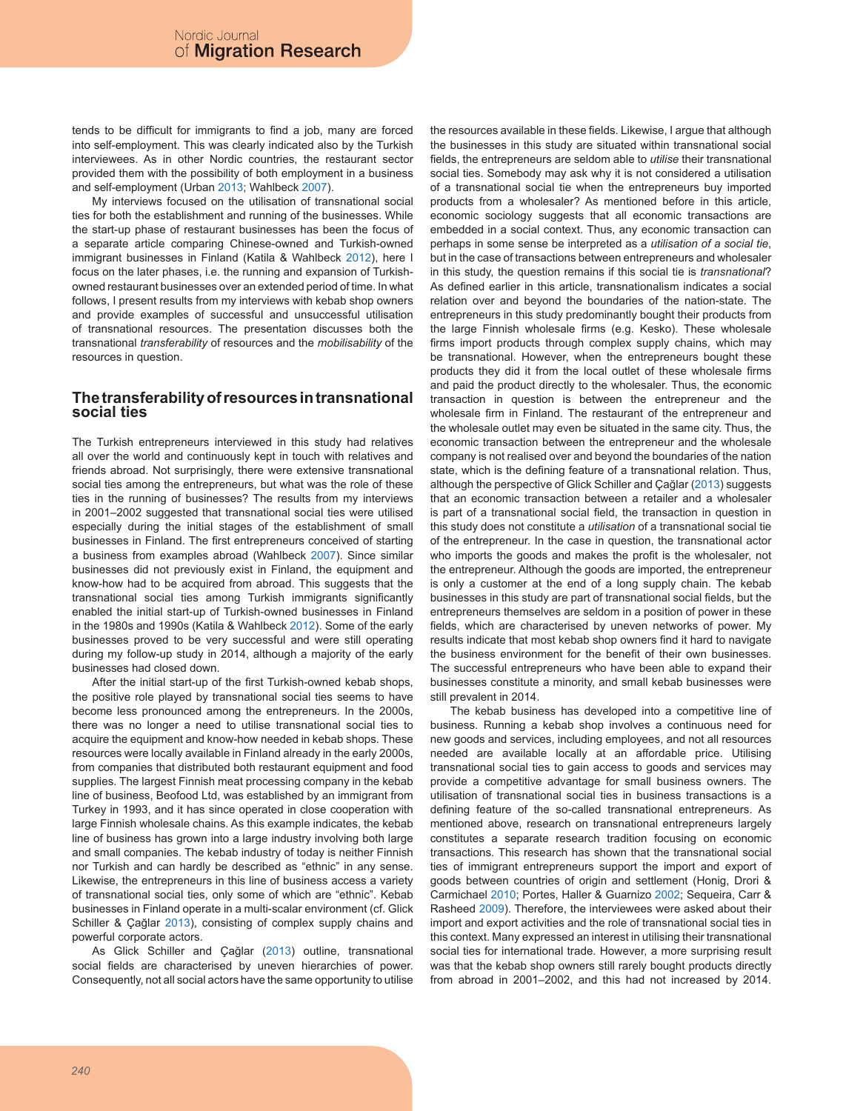tends to be difficult for immigrants to find a job, many are forced into self-employment. This was clearly indicated also by the Turkish interviewees. As in other Nordic countries, the restaurant sector provided them with the possibility of both employment in a business and self-employment (Urban 2013; Wahlbeck 2007).

My interviews focused on the utilisation of transnational social ties for both the establishment and running of the businesses. While the start-up phase of restaurant businesses has been the focus of a separate article comparing Chinese-owned and Turkish-owned immigrant businesses in Finland (Katila & Wahlbeck 2012), here I focus on the later phases, i.e. the running and expansion of Turkishowned restaurant businesses over an extended period of time. In what follows, I present results from my interviews with kebab shop owners and provide examples of successful and unsuccessful utilisation of transnational resources. The presentation discusses both the transnational *transferability* of resources and the *mobilisability* of the resources in question.

## **The transferability of resources in transnational social ties**

The Turkish entrepreneurs interviewed in this study had relatives all over the world and continuously kept in touch with relatives and friends abroad. Not surprisingly, there were extensive transnational social ties among the entrepreneurs, but what was the role of these ties in the running of businesses? The results from my interviews in 2001–2002 suggested that transnational social ties were utilised especially during the initial stages of the establishment of small businesses in Finland. The first entrepreneurs conceived of starting a business from examples abroad (Wahlbeck 2007). Since similar businesses did not previously exist in Finland, the equipment and know-how had to be acquired from abroad. This suggests that the transnational social ties among Turkish immigrants significantly enabled the initial start-up of Turkish-owned businesses in Finland in the 1980s and 1990s (Katila & Wahlbeck 2012). Some of the early businesses proved to be very successful and were still operating during my follow-up study in 2014, although a majority of the early businesses had closed down.

After the initial start-up of the first Turkish-owned kebab shops, the positive role played by transnational social ties seems to have become less pronounced among the entrepreneurs. In the 2000s, there was no longer a need to utilise transnational social ties to acquire the equipment and know-how needed in kebab shops. These resources were locally available in Finland already in the early 2000s, from companies that distributed both restaurant equipment and food supplies. The largest Finnish meat processing company in the kebab line of business, Beofood Ltd, was established by an immigrant from Turkey in 1993, and it has since operated in close cooperation with large Finnish wholesale chains. As this example indicates, the kebab line of business has grown into a large industry involving both large and small companies. The kebab industry of today is neither Finnish nor Turkish and can hardly be described as "ethnic" in any sense. Likewise, the entrepreneurs in this line of business access a variety of transnational social ties, only some of which are "ethnic". Kebab businesses in Finland operate in a multi-scalar environment (cf. Glick Schiller & Çağlar 2013), consisting of complex supply chains and powerful corporate actors.

As Glick Schiller and Çağlar (2013) outline, transnational social fields are characterised by uneven hierarchies of power. Consequently, not all social actors have the same opportunity to utilise the resources available in these fields. Likewise, I argue that although the businesses in this study are situated within transnational social fields, the entrepreneurs are seldom able to *utilise* their transnational social ties. Somebody may ask why it is not considered a utilisation of a transnational social tie when the entrepreneurs buy imported products from a wholesaler? As mentioned before in this article, economic sociology suggests that all economic transactions are embedded in a social context. Thus, any economic transaction can perhaps in some sense be interpreted as a *utilisation of a social tie*, but in the case of transactions between entrepreneurs and wholesaler in this study, the question remains if this social tie is *transnational*? As defined earlier in this article, transnationalism indicates a social relation over and beyond the boundaries of the nation-state. The entrepreneurs in this study predominantly bought their products from the large Finnish wholesale firms (e.g. Kesko). These wholesale firms import products through complex supply chains, which may be transnational. However, when the entrepreneurs bought these products they did it from the local outlet of these wholesale firms and paid the product directly to the wholesaler. Thus, the economic transaction in question is between the entrepreneur and the wholesale firm in Finland. The restaurant of the entrepreneur and the wholesale outlet may even be situated in the same city. Thus, the economic transaction between the entrepreneur and the wholesale company is not realised over and beyond the boundaries of the nation state, which is the defining feature of a transnational relation. Thus, although the perspective of Glick Schiller and Çağlar (2013) suggests that an economic transaction between a retailer and a wholesaler is part of a transnational social field, the transaction in question in this study does not constitute a *utilisation* of a transnational social tie of the entrepreneur. In the case in question, the transnational actor who imports the goods and makes the profit is the wholesaler, not the entrepreneur. Although the goods are imported, the entrepreneur is only a customer at the end of a long supply chain. The kebab businesses in this study are part of transnational social fields, but the entrepreneurs themselves are seldom in a position of power in these fields, which are characterised by uneven networks of power. My results indicate that most kebab shop owners find it hard to navigate the business environment for the benefit of their own businesses. The successful entrepreneurs who have been able to expand their businesses constitute a minority, and small kebab businesses were still prevalent in 2014.

The kebab business has developed into a competitive line of business. Running a kebab shop involves a continuous need for new goods and services, including employees, and not all resources needed are available locally at an affordable price. Utilising transnational social ties to gain access to goods and services may provide a competitive advantage for small business owners. The utilisation of transnational social ties in business transactions is a defining feature of the so-called transnational entrepreneurs. As mentioned above, research on transnational entrepreneurs largely constitutes a separate research tradition focusing on economic transactions. This research has shown that the transnational social ties of immigrant entrepreneurs support the import and export of goods between countries of origin and settlement (Honig, Drori & Carmichael 2010; Portes, Haller & Guarnizo 2002; Sequeira, Carr & Rasheed 2009). Therefore, the interviewees were asked about their import and export activities and the role of transnational social ties in this context. Many expressed an interest in utilising their transnational social ties for international trade. However, a more surprising result was that the kebab shop owners still rarely bought products directly from abroad in 2001–2002, and this had not increased by 2014.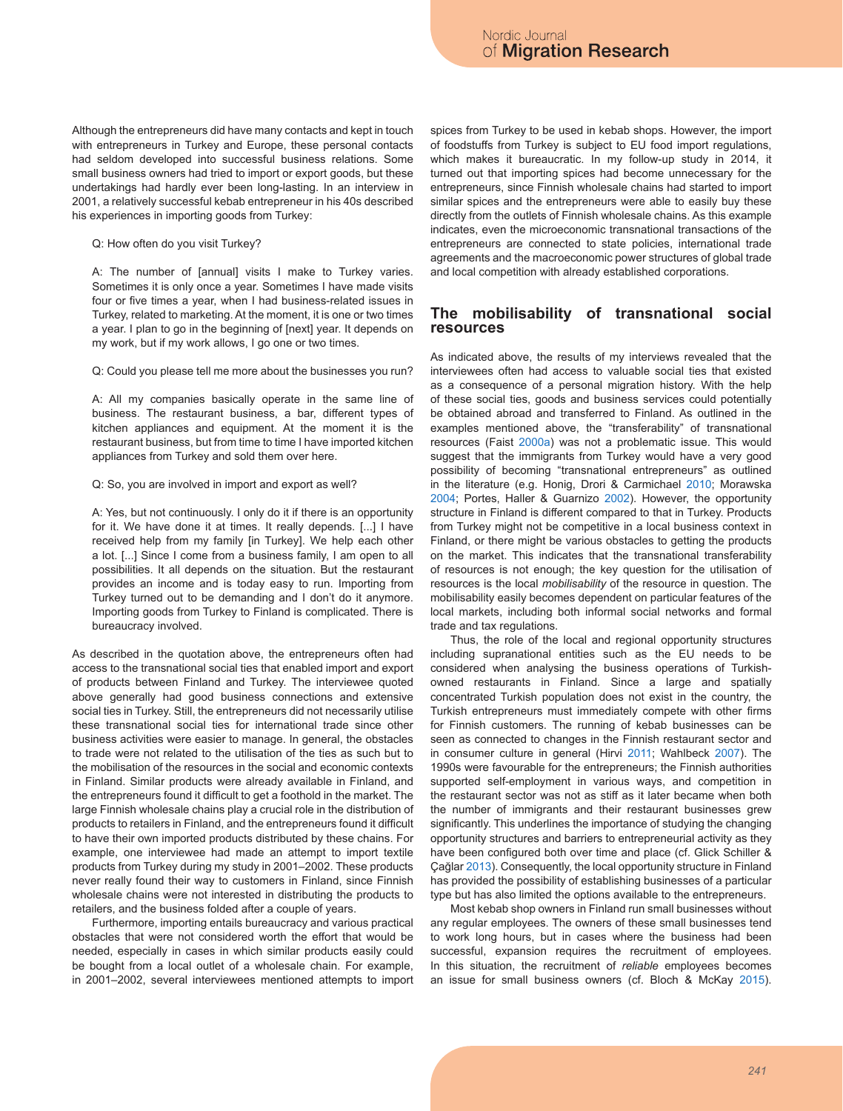Although the entrepreneurs did have many contacts and kept in touch with entrepreneurs in Turkey and Europe, these personal contacts had seldom developed into successful business relations. Some small business owners had tried to import or export goods, but these undertakings had hardly ever been long-lasting. In an interview in 2001, a relatively successful kebab entrepreneur in his 40s described his experiences in importing goods from Turkey:

Q: How often do you visit Turkey?

A: The number of [annual] visits I make to Turkey varies. Sometimes it is only once a year. Sometimes I have made visits four or five times a year, when I had business-related issues in Turkey, related to marketing. At the moment, it is one or two times a year. I plan to go in the beginning of [next] year. It depends on my work, but if my work allows, I go one or two times.

Q: Could you please tell me more about the businesses you run?

A: All my companies basically operate in the same line of business. The restaurant business, a bar, different types of kitchen appliances and equipment. At the moment it is the restaurant business, but from time to time I have imported kitchen appliances from Turkey and sold them over here.

Q: So, you are involved in import and export as well?

A: Yes, but not continuously. I only do it if there is an opportunity for it. We have done it at times. It really depends. [...] I have received help from my family [in Turkey]. We help each other a lot. [...] Since I come from a business family, I am open to all possibilities. It all depends on the situation. But the restaurant provides an income and is today easy to run. Importing from Turkey turned out to be demanding and I don't do it anymore. Importing goods from Turkey to Finland is complicated. There is bureaucracy involved.

As described in the quotation above, the entrepreneurs often had access to the transnational social ties that enabled import and export of products between Finland and Turkey. The interviewee quoted above generally had good business connections and extensive social ties in Turkey. Still, the entrepreneurs did not necessarily utilise these transnational social ties for international trade since other business activities were easier to manage. In general, the obstacles to trade were not related to the utilisation of the ties as such but to the mobilisation of the resources in the social and economic contexts in Finland. Similar products were already available in Finland, and the entrepreneurs found it difficult to get a foothold in the market. The large Finnish wholesale chains play a crucial role in the distribution of products to retailers in Finland, and the entrepreneurs found it difficult to have their own imported products distributed by these chains. For example, one interviewee had made an attempt to import textile products from Turkey during my study in 2001–2002. These products never really found their way to customers in Finland, since Finnish wholesale chains were not interested in distributing the products to retailers, and the business folded after a couple of years.

Furthermore, importing entails bureaucracy and various practical obstacles that were not considered worth the effort that would be needed, especially in cases in which similar products easily could be bought from a local outlet of a wholesale chain. For example, in 2001–2002, several interviewees mentioned attempts to import spices from Turkey to be used in kebab shops. However, the import of foodstuffs from Turkey is subject to EU food import regulations, which makes it bureaucratic. In my follow-up study in 2014, it turned out that importing spices had become unnecessary for the entrepreneurs, since Finnish wholesale chains had started to import similar spices and the entrepreneurs were able to easily buy these directly from the outlets of Finnish wholesale chains. As this example indicates, even the microeconomic transnational transactions of the entrepreneurs are connected to state policies, international trade agreements and the macroeconomic power structures of global trade and local competition with already established corporations.

## **The mobilisability of transnational social resources**

As indicated above, the results of my interviews revealed that the interviewees often had access to valuable social ties that existed as a consequence of a personal migration history. With the help of these social ties, goods and business services could potentially be obtained abroad and transferred to Finland. As outlined in the examples mentioned above, the "transferability" of transnational resources (Faist 2000a) was not a problematic issue. This would suggest that the immigrants from Turkey would have a very good possibility of becoming "transnational entrepreneurs" as outlined in the literature (e.g. Honig, Drori & Carmichael 2010; Morawska 2004; Portes, Haller & Guarnizo 2002). However, the opportunity structure in Finland is different compared to that in Turkey. Products from Turkey might not be competitive in a local business context in Finland, or there might be various obstacles to getting the products on the market. This indicates that the transnational transferability of resources is not enough; the key question for the utilisation of resources is the local *mobilisability* of the resource in question. The mobilisability easily becomes dependent on particular features of the local markets, including both informal social networks and formal trade and tax regulations.

Thus, the role of the local and regional opportunity structures including supranational entities such as the EU needs to be considered when analysing the business operations of Turkishowned restaurants in Finland*.* Since a large and spatially concentrated Turkish population does not exist in the country, the Turkish entrepreneurs must immediately compete with other firms for Finnish customers. The running of kebab businesses can be seen as connected to changes in the Finnish restaurant sector and in consumer culture in general (Hirvi 2011; Wahlbeck 2007). The 1990s were favourable for the entrepreneurs; the Finnish authorities supported self-employment in various ways, and competition in the restaurant sector was not as stiff as it later became when both the number of immigrants and their restaurant businesses grew significantly. This underlines the importance of studying the changing opportunity structures and barriers to entrepreneurial activity as they have been configured both over time and place (cf. Glick Schiller & Çağlar 2013). Consequently, the local opportunity structure in Finland has provided the possibility of establishing businesses of a particular type but has also limited the options available to the entrepreneurs.

Most kebab shop owners in Finland run small businesses without any regular employees. The owners of these small businesses tend to work long hours, but in cases where the business had been successful, expansion requires the recruitment of employees. In this situation, the recruitment of *reliable* employees becomes an issue for small business owners (cf. Bloch & McKay 2015).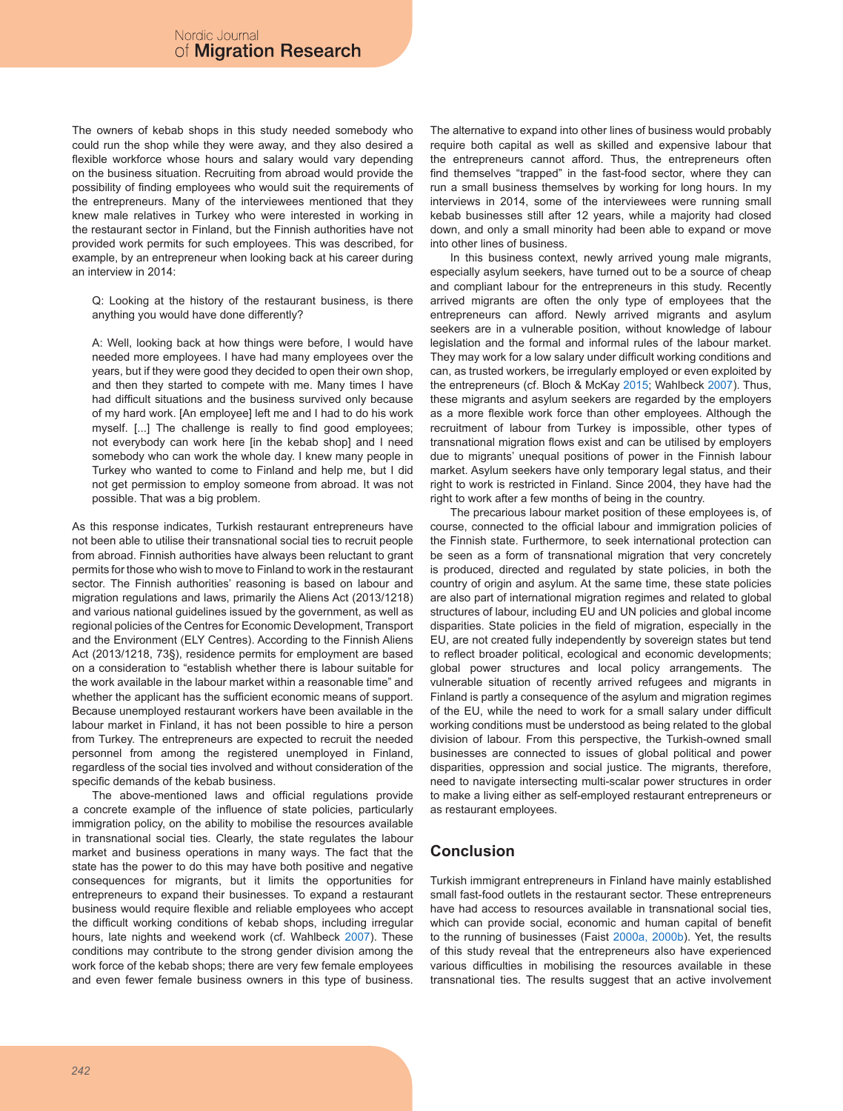The owners of kebab shops in this study needed somebody who could run the shop while they were away, and they also desired a flexible workforce whose hours and salary would vary depending on the business situation. Recruiting from abroad would provide the possibility of finding employees who would suit the requirements of the entrepreneurs. Many of the interviewees mentioned that they knew male relatives in Turkey who were interested in working in the restaurant sector in Finland, but the Finnish authorities have not provided work permits for such employees. This was described, for example, by an entrepreneur when looking back at his career during an interview in 2014:

Q: Looking at the history of the restaurant business, is there anything you would have done differently?

A: Well, looking back at how things were before, I would have needed more employees. I have had many employees over the years, but if they were good they decided to open their own shop, and then they started to compete with me. Many times I have had difficult situations and the business survived only because of my hard work. [An employee] left me and I had to do his work myself. [...] The challenge is really to find good employees; not everybody can work here [in the kebab shop] and I need somebody who can work the whole day. I knew many people in Turkey who wanted to come to Finland and help me, but I did not get permission to employ someone from abroad. It was not possible. That was a big problem.

As this response indicates, Turkish restaurant entrepreneurs have not been able to utilise their transnational social ties to recruit people from abroad. Finnish authorities have always been reluctant to grant permits for those who wish to move to Finland to work in the restaurant sector. The Finnish authorities' reasoning is based on labour and migration regulations and laws, primarily the Aliens Act (2013/1218) and various national guidelines issued by the government, as well as regional policies of the Centres for Economic Development, Transport and the Environment (ELY Centres). According to the Finnish Aliens Act (2013/1218, 73§), residence permits for employment are based on a consideration to "establish whether there is labour suitable for the work available in the labour market within a reasonable time" and whether the applicant has the sufficient economic means of support. Because unemployed restaurant workers have been available in the labour market in Finland, it has not been possible to hire a person from Turkey. The entrepreneurs are expected to recruit the needed personnel from among the registered unemployed in Finland, regardless of the social ties involved and without consideration of the specific demands of the kebab business.

The above-mentioned laws and official regulations provide a concrete example of the influence of state policies, particularly immigration policy, on the ability to mobilise the resources available in transnational social ties. Clearly, the state regulates the labour market and business operations in many ways. The fact that the state has the power to do this may have both positive and negative consequences for migrants, but it limits the opportunities for entrepreneurs to expand their businesses. To expand a restaurant business would require flexible and reliable employees who accept the difficult working conditions of kebab shops, including irregular hours, late nights and weekend work (cf. Wahlbeck 2007). These conditions may contribute to the strong gender division among the work force of the kebab shops; there are very few female employees and even fewer female business owners in this type of business.

The alternative to expand into other lines of business would probably require both capital as well as skilled and expensive labour that the entrepreneurs cannot afford. Thus, the entrepreneurs often find themselves "trapped" in the fast-food sector, where they can run a small business themselves by working for long hours. In my interviews in 2014, some of the interviewees were running small kebab businesses still after 12 years, while a majority had closed down, and only a small minority had been able to expand or move into other lines of business.

In this business context, newly arrived young male migrants, especially asylum seekers, have turned out to be a source of cheap and compliant labour for the entrepreneurs in this study. Recently arrived migrants are often the only type of employees that the entrepreneurs can afford. Newly arrived migrants and asylum seekers are in a vulnerable position, without knowledge of labour legislation and the formal and informal rules of the labour market. They may work for a low salary under difficult working conditions and can, as trusted workers, be irregularly employed or even exploited by the entrepreneurs (cf. Bloch & McKay 2015; Wahlbeck 2007). Thus, these migrants and asylum seekers are regarded by the employers as a more flexible work force than other employees. Although the recruitment of labour from Turkey is impossible, other types of transnational migration flows exist and can be utilised by employers due to migrants' unequal positions of power in the Finnish labour market. Asylum seekers have only temporary legal status, and their right to work is restricted in Finland. Since 2004, they have had the right to work after a few months of being in the country.

The precarious labour market position of these employees is, of course, connected to the official labour and immigration policies of the Finnish state. Furthermore, to seek international protection can be seen as a form of transnational migration that very concretely is produced, directed and regulated by state policies, in both the country of origin and asylum. At the same time, these state policies are also part of international migration regimes and related to global structures of labour, including EU and UN policies and global income disparities. State policies in the field of migration, especially in the EU, are not created fully independently by sovereign states but tend to reflect broader political, ecological and economic developments; global power structures and local policy arrangements. The vulnerable situation of recently arrived refugees and migrants in Finland is partly a consequence of the asylum and migration regimes of the EU, while the need to work for a small salary under difficult working conditions must be understood as being related to the global division of labour. From this perspective, the Turkish-owned small businesses are connected to issues of global political and power disparities, oppression and social justice. The migrants, therefore, need to navigate intersecting multi-scalar power structures in order to make a living either as self-employed restaurant entrepreneurs or as restaurant employees.

# **Conclusion**

Turkish immigrant entrepreneurs in Finland have mainly established small fast-food outlets in the restaurant sector. These entrepreneurs have had access to resources available in transnational social ties, which can provide social, economic and human capital of benefit to the running of businesses (Faist 2000a, 2000b). Yet, the results of this study reveal that the entrepreneurs also have experienced various difficulties in mobilising the resources available in these transnational ties. The results suggest that an active involvement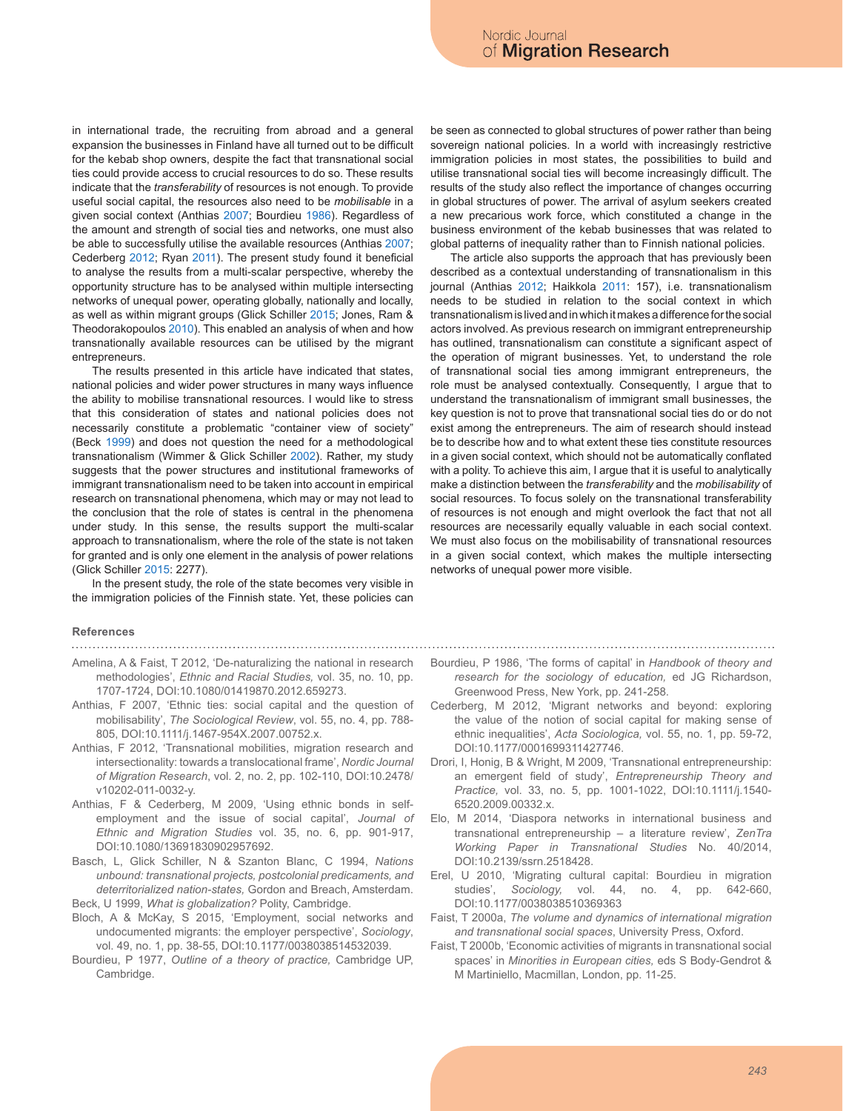in international trade, the recruiting from abroad and a general expansion the businesses in Finland have all turned out to be difficult for the kebab shop owners, despite the fact that transnational social ties could provide access to crucial resources to do so. These results indicate that the *transferability* of resources is not enough. To provide useful social capital, the resources also need to be *mobilisable* in a given social context (Anthias 2007; Bourdieu 1986). Regardless of the amount and strength of social ties and networks, one must also be able to successfully utilise the available resources (Anthias 2007; Cederberg 2012; Ryan 2011). The present study found it beneficial to analyse the results from a multi-scalar perspective, whereby the opportunity structure has to be analysed within multiple intersecting networks of unequal power, operating globally, nationally and locally, as well as within migrant groups (Glick Schiller 2015; Jones, Ram & Theodorakopoulos 2010). This enabled an analysis of when and how transnationally available resources can be utilised by the migrant entrepreneurs.

The results presented in this article have indicated that states, national policies and wider power structures in many ways influence the ability to mobilise transnational resources. I would like to stress that this consideration of states and national policies does not necessarily constitute a problematic "container view of society" (Beck 1999) and does not question the need for a methodological transnationalism (Wimmer & Glick Schiller 2002). Rather, my study suggests that the power structures and institutional frameworks of immigrant transnationalism need to be taken into account in empirical research on transnational phenomena, which may or may not lead to the conclusion that the role of states is central in the phenomena under study. In this sense, the results support the multi-scalar approach to transnationalism, where the role of the state is not taken for granted and is only one element in the analysis of power relations (Glick Schiller 2015: 2277).

In the present study, the role of the state becomes very visible in the immigration policies of the Finnish state. Yet, these policies can

#### **References**

Amelina, A & Faist, T 2012, 'De-naturalizing the national in research methodologies', *Ethnic and Racial Studies,* vol. 35, no. 10, pp. 1707-1724, DOI:10.1080/01419870.2012.659273.

- Anthias, F 2007, 'Ethnic ties: social capital and the question of mobilisability', *The Sociological Review*, vol. 55, no. 4, pp. 788- 805, DOI:10.1111/j.1467-954X.2007.00752.x.
- Anthias, F 2012, 'Transnational mobilities, migration research and intersectionality: towards a translocational frame', *Nordic Journal of Migration Research*, vol. 2, no. 2, pp. 102-110, DOI:10.2478/ v10202-011-0032-y.
- Anthias, F & Cederberg, M 2009, 'Using ethnic bonds in selfemployment and the issue of social capital', *Journal of Ethnic and Migration Studies* vol. 35, no. 6, pp. 901-917, DOI:10.1080/13691830902957692.
- Basch, L, Glick Schiller, N & Szanton Blanc, C 1994, *Nations unbound: transnational projects, postcolonial predicaments, and deterritorialized nation-states,* Gordon and Breach, Amsterdam. Beck, U 1999, *What is globalization?* Polity, Cambridge.
- Bloch, A & McKay, S 2015, 'Employment, social networks and undocumented migrants: the employer perspective', *Sociology*, vol. 49, no. 1, pp. 38-55, DOI:10.1177/0038038514532039.
- Bourdieu, P 1977, *Outline of a theory of practice,* Cambridge UP, Cambridge.

be seen as connected to global structures of power rather than being sovereign national policies. In a world with increasingly restrictive immigration policies in most states, the possibilities to build and utilise transnational social ties will become increasingly difficult. The results of the study also reflect the importance of changes occurring in global structures of power. The arrival of asylum seekers created a new precarious work force, which constituted a change in the business environment of the kebab businesses that was related to global patterns of inequality rather than to Finnish national policies.

The article also supports the approach that has previously been described as a contextual understanding of transnationalism in this journal (Anthias 2012; Haikkola 2011: 157), i.e. transnationalism needs to be studied in relation to the social context in which transnationalism is lived and in which it makes a difference for the social actors involved. As previous research on immigrant entrepreneurship has outlined, transnationalism can constitute a significant aspect of the operation of migrant businesses. Yet, to understand the role of transnational social ties among immigrant entrepreneurs, the role must be analysed contextually. Consequently, I argue that to understand the transnationalism of immigrant small businesses, the key question is not to prove that transnational social ties do or do not exist among the entrepreneurs. The aim of research should instead be to describe how and to what extent these ties constitute resources in a given social context, which should not be automatically conflated with a polity. To achieve this aim, I argue that it is useful to analytically make a distinction between the *transferability* and the *mobilisability* of social resources. To focus solely on the transnational transferability of resources is not enough and might overlook the fact that not all resources are necessarily equally valuable in each social context. We must also focus on the mobilisability of transnational resources in a given social context, which makes the multiple intersecting networks of unequal power more visible.

- Bourdieu, P 1986, 'The forms of capital' in *Handbook of theory and research for the sociology of education,* ed JG Richardson, Greenwood Press, New York, pp. 241-258.
- Cederberg, M 2012, 'Migrant networks and beyond: exploring the value of the notion of social capital for making sense of ethnic inequalities', *Acta Sociologica,* vol. 55, no. 1, pp. 59-72, DOI:10.1177/0001699311427746.
- Drori, I, Honig, B & Wright, M 2009, 'Transnational entrepreneurship: an emergent field of study', *Entrepreneurship Theory and Practice,* vol. 33, no. 5, pp. 1001-1022, DOI:10.1111/j.1540- 6520.2009.00332.x.
- Elo, M 2014, 'Diaspora networks in international business and transnational entrepreneurship – a literature review', *ZenTra Working Paper in Transnational Studies* No. 40/2014, DOI:10.2139/ssrn.2518428.
- Erel, U 2010, 'Migrating cultural capital: Bourdieu in migration studies', *Sociology,* vol. 44, no. 4, pp. 642-660, DOI:10.1177/0038038510369363
- Faist, T 2000a, *The volume and dynamics of international migration and transnational social spaces*, University Press, Oxford.
- Faist, T 2000b, 'Economic activities of migrants in transnational social spaces' in *Minorities in European cities,* eds S Body-Gendrot & M Martiniello, Macmillan, London, pp. 11-25.